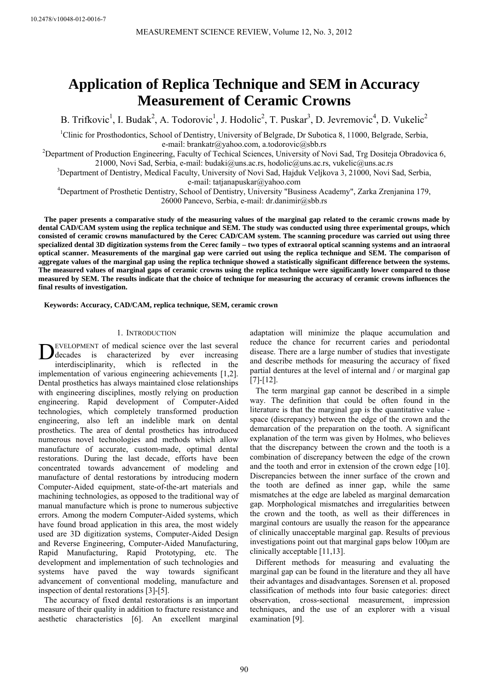# **Application of Replica Technique and SEM in Accuracy Measurement of Ceramic Crowns**

B. Trifkovic<sup>1</sup>, I. Budak<sup>2</sup>, A. Todorovic<sup>1</sup>, J. Hodolic<sup>2</sup>, T. Puskar<sup>3</sup>, D. Jevremovic<sup>4</sup>, D. Vukelic<sup>2</sup>

<sup>1</sup>Clinic for Prosthodontics, School of Dentistry, University of Belgrade, Dr Subotica 8, 11000, Belgrade, Serbia, e-mail: brankatr@yahoo.com, a.todorovic@sbb.rs

Department of Production Engineering, Faculty of Techical Sciences, University of Novi Sad, Trg Dositeja Obradovica 6, 21000, Novi Sad, Serbia, e-mail: budaki@uns.ac.rs, hodolic@uns.ac.rs, vukelic@uns.ac.rs

<sup>3</sup>Department of Dentistry, Medical Faculty, University of Novi Sad, Hajduk Veljkova 3, 21000, Novi Sad, Serbia,

e-mail: tatjanapuskar@yahoo.com<br>
<sup>4</sup>Department of Prosthetic Dentistry, School of Dentistry, University "Business Academy", Zarka Zrenjanina 179, 26000 Pancevo, Serbia, e-mail: dr.danimir@sbb.rs

**The paper presents a comparative study of the measuring values of the marginal gap related to the ceramic crowns made by dental CAD/CAM system using the replica technique and SEM. The study was conducted using three experimental groups, which consisted of ceramic crowns manufactured by the Cerec CAD/CAM system. The scanning procedure was carried out using three specialized dental 3D digitization systems from the Cerec family – two types of extraoral optical scanning systems and an intraoral optical scanner. Measurements of the marginal gap were carried out using the replica technique and SEM. The comparison of aggregate values of the marginal gap using the replica technique showed a statistically significant difference between the systems. The measured values of marginal gaps of ceramic crowns using the replica technique were significantly lower compared to those measured by SEM. The results indicate that the choice of technique for measuring the accuracy of ceramic crowns influences the final results of investigation.** 

**Keywords: Accuracy, CAD/CAM, replica technique, SEM, ceramic crown** 

## 1. INTRODUCTION

EVELOPMENT of medical science over the last several DEVELOPMENT of medical science over the last several<br>decades is characterized by ever increasing<br>intendicalities which is reflected in the interdisciplinarity, which is reflected in the implementation of various engineering achievements [1,2]. Dental prosthetics has always maintained close relationships with engineering disciplines, mostly relying on production engineering. Rapid development of Computer-Aided technologies, which completely transformed production engineering, also left an indelible mark on dental prosthetics. The area of dental prosthetics has introduced numerous novel technologies and methods which allow manufacture of accurate, custom-made, optimal dental restorations. During the last decade, efforts have been concentrated towards advancement of modeling and manufacture of dental restorations by introducing modern Computer-Aided equipment, state-of-the-art materials and machining technologies, as opposed to the traditional way of manual manufacture which is prone to numerous subjective errors. Among the modern Computer-Aided systems, which have found broad application in this area, the most widely used are 3D digitization systems, Computer-Aided Design and Reverse Engineering, Computer-Aided Manufacturing, Rapid Manufacturing, Rapid Prototyping, etc. The development and implementation of such technologies and systems have paved the way towards significant advancement of conventional modeling, manufacture and inspection of dental restorations [3]-[5].

The accuracy of fixed dental restorations is an important measure of their quality in addition to fracture resistance and aesthetic characteristics [6]. An excellent marginal adaptation will minimize the plaque accumulation and reduce the chance for recurrent caries and periodontal disease. There are a large number of studies that investigate and describe methods for measuring the accuracy of fixed partial dentures at the level of internal and / or marginal gap [7]-[12].

The term marginal gap cannot be described in a simple way. The definition that could be often found in the literature is that the marginal gap is the quantitative value space (discrepancy) between the edge of the crown and the demarcation of the preparation on the tooth. A significant explanation of the term was given by Holmes, who believes that the discrepancy between the crown and the tooth is a combination of discrepancy between the edge of the crown and the tooth and error in extension of the crown edge [10]. Discrepancies between the inner surface of the crown and the tooth are defined as inner gap, while the same mismatches at the edge are labeled as marginal demarcation gap. Morphological mismatches and irregularities between the crown and the tooth, as well as their differences in marginal contours are usually the reason for the appearance of clinically unacceptable marginal gap. Results of previous investigations point out that marginal gaps below 100μm are clinically acceptable [11,13].

Different methods for measuring and evaluating the marginal gap can be found in the literature and they all have their advantages and disadvantages. Sorensen et al. proposed classification of methods into four basic categories: direct observation, cross-sectional measurement, impression techniques, and the use of an explorer with a visual examination [9].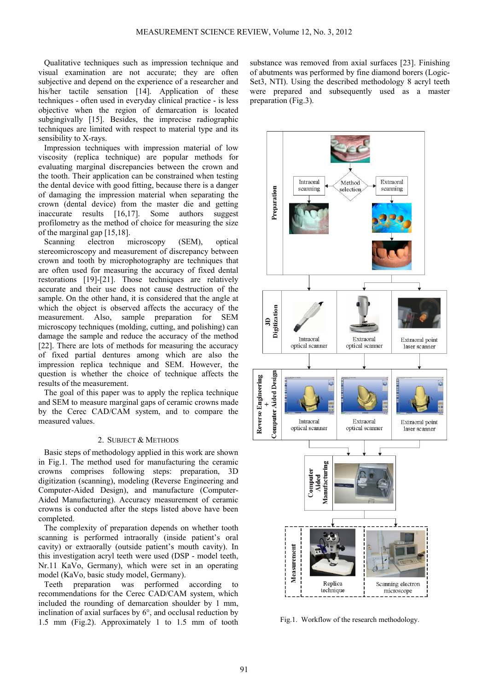Qualitative techniques such as impression technique and visual examination are not accurate; they are often subjective and depend on the experience of a researcher and his/her tactile sensation [14]. Application of these techniques - often used in everyday clinical practice - is less objective when the region of demarcation is located subgingivally [15]. Besides, the imprecise radiographic techniques are limited with respect to material type and its sensibility to X-rays.

Impression techniques with impression material of low viscosity (replica technique) are popular methods for evaluating marginal discrepancies between the crown and the tooth. Their application can be constrained when testing the dental device with good fitting, because there is a danger of damaging the impression material when separating the crown (dental device) from the master die and getting inaccurate results [16,17]. Some authors suggest profilometry as the method of choice for measuring the size of the marginal gap [15,18].

Scanning electron microscopy (SEM), optical stereomicroscopy and measurement of discrepancy between crown and tooth by microphotography are techniques that are often used for measuring the accuracy of fixed dental restorations [19]-[21]. Those techniques are relatively accurate and their use does not cause destruction of the sample. On the other hand, it is considered that the angle at which the object is observed affects the accuracy of the measurement. Also, sample preparation for SEM microscopy techniques (molding, cutting, and polishing) can damage the sample and reduce the accuracy of the method [22]. There are lots of methods for measuring the accuracy of fixed partial dentures among which are also the impression replica technique and SEM. However, the question is whether the choice of technique affects the results of the measurement.

The goal of this paper was to apply the replica technique and SEM to measure marginal gaps of ceramic crowns made by the Cerec CAD/CAM system, and to compare the measured values.

## 2. SUBJECT & METHODS

Basic steps of methodology applied in this work are shown in Fig.1. The method used for manufacturing the ceramic crowns comprises following steps: preparation, 3D digitization (scanning), modeling (Reverse Engineering and Computer-Aided Design), and manufacture (Computer-Aided Manufacturing). Accuracy measurement of ceramic crowns is conducted after the steps listed above have been completed.

The complexity of preparation depends on whether tooth scanning is performed intraorally (inside patient's oral cavity) or extraorally (outside patient's mouth cavity). In this investigation acryl teeth were used (DSP - model teeth, Nr.11 KaVo, Germany), which were set in an operating model (KaVo, basic study model, Germany).

Teeth preparation was performed according to recommendations for the Cerec CAD/CAM system, which included the rounding of demarcation shoulder by 1 mm, inclination of axial surfaces by 6°, and occlusal reduction by 1.5 mm (Fig.2). Approximately 1 to 1.5 mm of tooth

substance was removed from axial surfaces [23]. Finishing of abutments was performed by fine diamond borers (Logic-Set3, NTI). Using the described methodology 8 acryl teeth were prepared and subsequently used as a master preparation (Fig.3).



Fig.1. Workflow of the research methodology.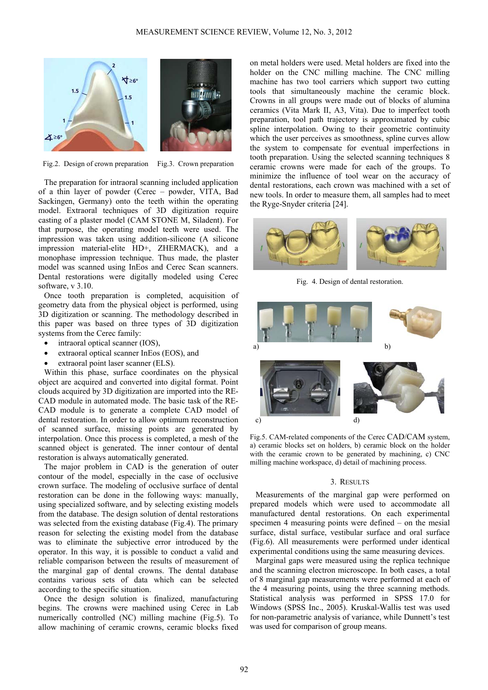

Fig.2. Design of crown preparation Fig.3. Crown preparation

The preparation for intraoral scanning included application of a thin layer of powder (Cerec – powder, VITA, Bad Sackingen, Germany) onto the teeth within the operating model. Extraoral techniques of 3D digitization require casting of a plaster model (CAM STONE M, Siladent). For that purpose, the operating model teeth were used. The impression was taken using addition-silicone (A silicone impression material-elite HD+, ZHERMACK), and a monophase impression technique. Thus made, the plaster model was scanned using InEos and Cerec Scan scanners. Dental restorations were digitally modeled using Cerec software, v 3.10.

Once tooth preparation is completed, acquisition of geometry data from the physical object is performed, using 3D digitization or scanning. The methodology described in this paper was based on three types of 3D digitization systems from the Cerec family:

- intraoral optical scanner (IOS),
- extraoral optical scanner InEos (EOS), and
- extraoral point laser scanner (ELS).

Within this phase, surface coordinates on the physical object are acquired and converted into digital format. Point clouds acquired by 3D digitization are imported into the RE-CAD module in automated mode. The basic task of the RE-CAD module is to generate a complete CAD model of dental restoration. In order to allow optimum reconstruction of scanned surface, missing points are generated by interpolation. Once this process is completed, a mesh of the scanned object is generated. The inner contour of dental restoration is always automatically generated.

The major problem in CAD is the generation of outer contour of the model, especially in the case of occlusive crown surface. The modeling of occlusive surface of dental restoration can be done in the following ways: manually, using specialized software, and by selecting existing models from the database. The design solution of dental restorations was selected from the existing database (Fig.4). The primary reason for selecting the existing model from the database was to eliminate the subjective error introduced by the operator. In this way, it is possible to conduct a valid and reliable comparison between the results of measurement of the marginal gap of dental crowns. The dental database contains various sets of data which can be selected according to the specific situation.

Once the design solution is finalized, manufacturing begins. The crowns were machined using Cerec in Lab numerically controlled (NC) milling machine (Fig.5). To allow machining of ceramic crowns, ceramic blocks fixed on metal holders were used. Metal holders are fixed into the holder on the CNC milling machine. The CNC milling machine has two tool carriers which support two cutting tools that simultaneously machine the ceramic block. Crowns in all groups were made out of blocks of alumina ceramics (Vita Mark II, A3, Vita). Due to imperfect tooth preparation, tool path trajectory is approximated by cubic spline interpolation. Owing to their geometric continuity which the user perceives as smoothness, spline curves allow the system to compensate for eventual imperfections in tooth preparation. Using the selected scanning techniques 8 ceramic crowns were made for each of the groups. To minimize the influence of tool wear on the accuracy of dental restorations, each crown was machined with a set of new tools. In order to measure them, all samples had to meet the Ryge-Snyder criteria [24].



Fig. 4. Design of dental restoration.



Fig.5. CAM-related components of the Cerec CAD/CAM system, a) ceramic blocks set on holders, b) ceramic block on the holder with the ceramic crown to be generated by machining, c) CNC milling machine workspace, d) detail of machining process.

## 3. RESULTS

Measurements of the marginal gap were performed on prepared models which were used to accommodate all manufactured dental restorations. On each experimental specimen 4 measuring points were defined – on the mesial surface, distal surface, vestibular surface and oral surface (Fig.6). All measurements were performed under identical experimental conditions using the same measuring devices.

Marginal gaps were measured using the replica technique and the scanning electron microscope. In both cases, a total of 8 marginal gap measurements were performed at each of the 4 measuring points, using the three scanning methods. Statistical analysis was performed in SPSS 17.0 for Windows (SPSS Inc., 2005). Kruskal-Wallis test was used for non-parametric analysis of variance, while Dunnett's test was used for comparison of group means.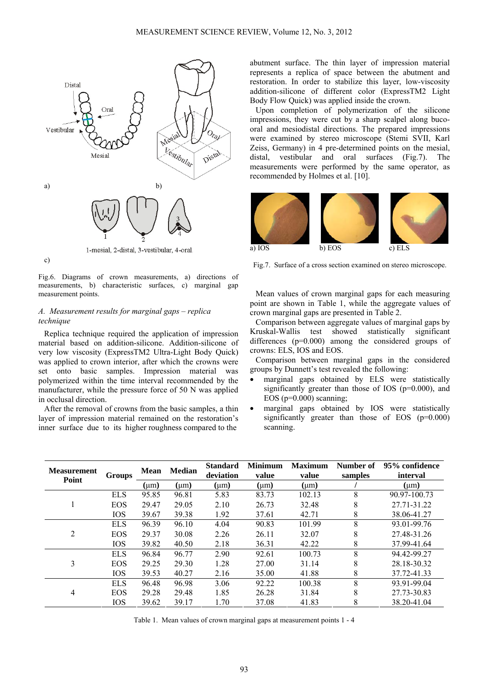

c)

Fig.6. Diagrams of crown measurements, a) directions of measurements, b) characteristic surfaces, c) marginal gap measurement points.

# *A. Measurement results for marginal gaps – replica technique*

Replica technique required the application of impression material based on addition-silicone. Addition-silicone of very low viscosity (ExpressTM2 Ultra-Light Body Quick) was applied to crown interior, after which the crowns were set onto basic samples. Impression material was polymerized within the time interval recommended by the manufacturer, while the pressure force of 50 N was applied in occlusal direction.

After the removal of crowns from the basic samples, a thin layer of impression material remained on the restoration's inner surface due to its higher roughness compared to the

abutment surface. The thin layer of impression material represents a replica of space between the abutment and restoration. In order to stabilize this layer, low-viscosity addition-silicone of different color (ExpressTM2 Light Body Flow Quick) was applied inside the crown.

Upon completion of polymerization of the silicone impressions, they were cut by a sharp scalpel along bucooral and mesiodistal directions. The prepared impressions were examined by stereo microscope (Stemi SVII, Karl Zeiss, Germany) in 4 pre-determined points on the mesial, distal, vestibular and oral surfaces (Fig.7). The measurements were performed by the same operator, as recommended by Holmes et al. [10].



Fig.7. Surface of a cross section examined on stereo microscope.

Mean values of crown marginal gaps for each measuring point are shown in Table 1, while the aggregate values of crown marginal gaps are presented in Table 2.

Comparison between aggregate values of marginal gaps by Kruskal-Wallis test showed statistically significant differences (p=0.000) among the considered groups of crowns: ELS, IOS and EOS.

Comparison between marginal gaps in the considered groups by Dunnett's test revealed the following:

- marginal gaps obtained by ELS were statistically significantly greater than those of IOS (p=0.000), and EOS ( $p=0.000$ ) scanning;
- marginal gaps obtained by IOS were statistically significantly greater than those of EOS (p=0.000) scanning.

| <b>Measurement</b><br>Point | <b>Groups</b> | <b>Mean</b> | <b>Median</b> | <b>Standard</b><br>deviation | <b>Minimum</b><br>value | <b>Maximum</b><br>value | Number of<br>samples | 95% confidence<br>interval |
|-----------------------------|---------------|-------------|---------------|------------------------------|-------------------------|-------------------------|----------------------|----------------------------|
|                             |               | (um)        | $(\mu m)$     | $(\mu m)$                    | (µm)                    | $\text{(um)}$           |                      | (um)                       |
|                             | <b>ELS</b>    | 95.85       | 96.81         | 5.83                         | 83.73                   | 102.13                  | 8                    | 90.97-100.73               |
|                             | <b>EOS</b>    | 29.47       | 29.05         | 2.10                         | 26.73                   | 32.48                   | 8                    | 27.71-31.22                |
|                             | <b>IOS</b>    | 39.67       | 39.38         | 1.92                         | 37.61                   | 42.71                   | 8                    | 38.06-41.27                |
|                             | <b>ELS</b>    | 96.39       | 96.10         | 4.04                         | 90.83                   | 101.99                  | 8                    | 93.01-99.76                |
| 2                           | <b>EOS</b>    | 29.37       | 30.08         | 2.26                         | 26.11                   | 32.07                   | 8                    | 27.48-31.26                |
|                             | <b>IOS</b>    | 39.82       | 40.50         | 2.18                         | 36.31                   | 42.22                   | 8                    | 37.99-41.64                |
|                             | <b>ELS</b>    | 96.84       | 96.77         | 2.90                         | 92.61                   | 100.73                  | 8                    | 94.42-99.27                |
| 3                           | <b>EOS</b>    | 29.25       | 29.30         | 1.28                         | 27.00                   | 31.14                   | 8                    | 28.18-30.32                |
|                             | <b>IOS</b>    | 39.53       | 40.27         | 2.16                         | 35.00                   | 41.88                   | 8                    | 37.72-41.33                |
| 4                           | <b>ELS</b>    | 96.48       | 96.98         | 3.06                         | 92.22                   | 100.38                  | 8                    | 93.91-99.04                |
|                             | <b>EOS</b>    | 29.28       | 29.48         | 1.85                         | 26.28                   | 31.84                   | 8                    | 27.73-30.83                |
|                             | <b>IOS</b>    | 39.62       | 39.17         | 1.70                         | 37.08                   | 41.83                   | 8                    | 38.20-41.04                |

Table 1. Mean values of crown marginal gaps at measurement points 1 - 4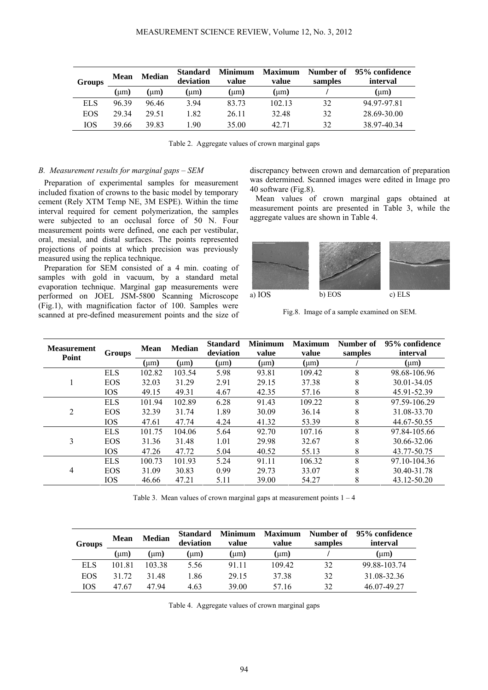| <b>Groups</b> | <b>Mean</b> | <b>Median</b> | <b>Standard</b><br>deviation | <b>Minimum</b><br>value | <b>Maximum</b><br>value | Number of<br>samples | 95% confidence<br>interval |
|---------------|-------------|---------------|------------------------------|-------------------------|-------------------------|----------------------|----------------------------|
|               | $\mu$ m     | $\mu$ m)      | um)                          | um)                     | (um)                    |                      | (um)                       |
| <b>ELS</b>    | 9639        | 96.46         | 3.94                         | 83 73                   | 102.13                  | 32                   | 94.97-97.81                |
| EOS           | 29 34       | 29.51         | 1.82                         | 26 11                   | 32.48                   | 32                   | 28.69-30.00                |
| IOS           | 39.66       | 39.83         | .90                          | 35.00                   | 42.71                   | 32                   | 38.97-40.34                |

Table 2. Aggregate values of crown marginal gaps

## *B. Measurement results for marginal gaps – SEM*

Preparation of experimental samples for measurement included fixation of crowns to the basic model by temporary cement (Rely XТМ Temp NE, 3M ESPE). Within the time interval required for cement polymerization, the samples were subjected to an occlusal force of 50 N. Four measurement points were defined, one each per vestibular, oral, mesial, and distal surfaces. The points represented projections of points at which precision was previously measured using the replica technique.

Preparation for SEM consisted of a 4 min. coating of samples with gold in vacuum, by a standard metal evaporation technique. Marginal gap measurements were performed on JOEL JSM-5800 Scanning Microscope (Fig.1), with magnification factor of 100. Samples were scanned at pre-defined measurement points and the size of discrepancy between crown and demarcation of preparation was determined. Scanned images were edited in Image pro 40 software (Fig.8).

Mean values of crown marginal gaps obtained at measurement points are presented in Table 3, while the aggregate values are shown in Table 4.



Fig.8. Image of a sample examined on SEM.

| <b>Measurement</b><br>Point | <b>Groups</b> | <b>Mean</b> | <b>Median</b> | <b>Standard</b><br>deviation | <b>Minimum</b><br>value | <b>Maximum</b><br>value | Number of<br>samples | 95% confidence<br>interval |
|-----------------------------|---------------|-------------|---------------|------------------------------|-------------------------|-------------------------|----------------------|----------------------------|
|                             |               | (um)        | $(\mu m)$     | (µm)                         | (um)                    | $(\mu m)$               |                      | (um)                       |
|                             | <b>ELS</b>    | 102.82      | 103.54        | 5.98                         | 93.81                   | 109.42                  | 8                    | 98.68-106.96               |
|                             | <b>EOS</b>    | 32.03       | 31.29         | 2.91                         | 29.15                   | 37.38                   | 8                    | 30.01-34.05                |
|                             | <b>IOS</b>    | 49.15       | 49.31         | 4.67                         | 42.35                   | 57.16                   | 8                    | 45.91-52.39                |
| $\overline{2}$              | <b>ELS</b>    | 101.94      | 102.89        | 6.28                         | 91.43                   | 109.22                  | 8                    | 97.59-106.29               |
|                             | <b>EOS</b>    | 32.39       | 31.74         | 1.89                         | 30.09                   | 36.14                   | 8                    | 31.08-33.70                |
|                             | <b>IOS</b>    | 47.61       | 47.74         | 4.24                         | 41.32                   | 53.39                   | 8                    | 44.67-50.55                |
| 3                           | <b>ELS</b>    | 101.75      | 104.06        | 5.64                         | 92.70                   | 107.16                  | 8                    | 97.84-105.66               |
|                             | <b>EOS</b>    | 31.36       | 31.48         | 1.01                         | 29.98                   | 32.67                   | 8                    | 30.66-32.06                |
|                             | <b>IOS</b>    | 47.26       | 47.72         | 5.04                         | 40.52                   | 55.13                   | 8                    | 43.77-50.75                |
| 4                           | <b>ELS</b>    | 100.73      | 101.93        | 5.24                         | 91.11                   | 106.32                  | 8                    | 97.10-104.36               |
|                             | <b>EOS</b>    | 31.09       | 30.83         | 0.99                         | 29.73                   | 33.07                   | 8                    | 30.40-31.78                |
|                             | IOS           | 46.66       | 47.21         | 5.11                         | 39.00                   | 54.27                   | 8                    | 43.12-50.20                |

Table 3. Mean values of crown marginal gaps at measurement points  $1 - 4$ 

| <b>Groups</b> | <b>Mean</b> | <b>Median</b> | <b>Standard</b><br>deviation | <b>Minimum</b><br>value | <b>Maximum</b><br>value | Number of<br>samples | 95% confidence<br>interval |
|---------------|-------------|---------------|------------------------------|-------------------------|-------------------------|----------------------|----------------------------|
|               | (um)        | (um)          | (um)                         | (um)                    | $\mu$ m)                |                      | um)                        |
| <b>ELS</b>    | 101.81      | 103.38        | 5.56                         | 91 11                   | 109.42                  | 32                   | 99.88-103.74               |
| <b>EOS</b>    | 31 72       | 31.48         | 1.86                         | 29.15                   | 37.38                   | 32                   | 31.08-32.36                |
| <b>IOS</b>    | 47.67       | 47 94         | 4.63                         | 39.00                   | 57 16                   | 32                   | 46 07-49 27                |

Table 4. Aggregate values of crown marginal gaps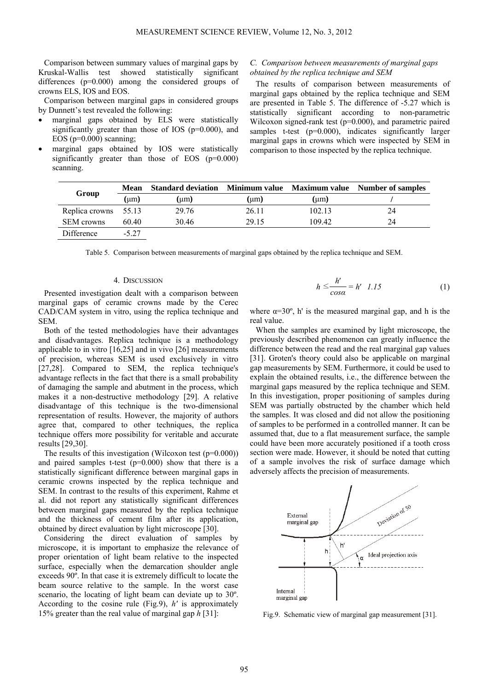Comparison between summary values of marginal gaps by Kruskal-Wallis test showed statistically significant differences (p=0.000) among the considered groups of crowns ELS, IOS and EOS.

Comparison between marginal gaps in considered groups by Dunnett's test revealed the following:

- marginal gaps obtained by ELS were statistically significantly greater than those of IOS (p=0.000), and EOS ( $p=0.000$ ) scanning;
- marginal gaps obtained by IOS were statistically significantly greater than those of EOS (p=0.000) scanning.

## *C. Comparison between measurements of marginal gaps obtained by the replica technique and SEM*

The results of comparison between measurements of marginal gaps obtained by the replica technique and SEM are presented in Table 5. The difference of -5.27 which is statistically significant according to non-parametric Wilcoxon signed-rank test (p=0.000), and parametric paired samples t-test (p=0.000), indicates significantly larger marginal gaps in crowns which were inspected by SEM in comparison to those inspected by the replica technique.

| Group                | Mean    |       |       |        | <b>Standard deviation</b> Minimum value Maximum value Number of samples |
|----------------------|---------|-------|-------|--------|-------------------------------------------------------------------------|
|                      | (um)    | (um)  | (µm)  | (µm)   |                                                                         |
| Replica crowns 55.13 |         | 29.76 | 26.11 | 102.13 | 24                                                                      |
| <b>SEM</b> crowns    | 60.40   | 30.46 | 29 15 | 109.42 | 24                                                                      |
| Difference           | $-5.27$ |       |       |        |                                                                         |

Table 5. Comparison between measurements of marginal gaps obtained by the replica technique and SEM.

## 4. DISCUSSION

Presented investigation dealt with a comparison between marginal gaps of ceramic crowns made by the Cerec CAD/CAM system in vitro, using the replica technique and SEM.

Both of the tested methodologies have their advantages and disadvantages. Replica technique is a methodology applicable to in vitro [16,25] and in vivo [26] measurements of precision, whereas SEM is used exclusively in vitro [27,28]. Compared to SEM, the replica technique's advantage reflects in the fact that there is a small probability of damaging the sample and abutment in the process, which makes it a non-destructive methodology [29]. A relative disadvantage of this technique is the two-dimensional representation of results. However, the majority of authors agree that, compared to other techniques, the replica technique offers more possibility for veritable and accurate results [29,30].

The results of this investigation (Wilcoxon test  $(p=0.000)$ ) and paired samples t-test  $(p=0.000)$  show that there is a statistically significant difference between marginal gaps in ceramic crowns inspected by the replica technique and SEM. In contrast to the results of this experiment, Rahme et al. did not report any statistically significant differences between marginal gaps measured by the replica technique and the thickness of cement film after its application, obtained by direct evaluation by light microscope [30].

Considering the direct evaluation of samples by microscope, it is important to emphasize the relevance of proper orientation of light beam relative to the inspected surface, especially when the demarcation shoulder angle exceeds 90º. In that case it is extremely difficult to locate the beam source relative to the sample. In the worst case scenario, the locating of light beam can deviate up to 30º. According to the cosine rule (Fig.9), *h'* is approximately 15% greater than the real value of marginal gap *h* [31]:

$$
h \le \frac{h'}{\cos \alpha} = h' \quad 1.15 \tag{1}
$$

where  $\alpha=30^{\circ}$ , h' is the measured marginal gap, and h is the real value.

When the samples are examined by light microscope, the previously described phenomenon can greatly influence the difference between the read and the real marginal gap values [31]. Groten's theory could also be applicable on marginal gap measurements by SEM. Furthermore, it could be used to explain the obtained results, i.e., the difference between the marginal gaps measured by the replica technique and SEM. In this investigation, proper positioning of samples during SEM was partially obstructed by the chamber which held the samples. It was closed and did not allow the positioning of samples to be performed in a controlled manner. It can be assumed that, due to a flat measurement surface, the sample could have been more accurately positioned if a tooth cross section were made. However, it should be noted that cutting of a sample involves the risk of surface damage which adversely affects the precision of measurements.



Fig.9. Schematic view of marginal gap measurement [31].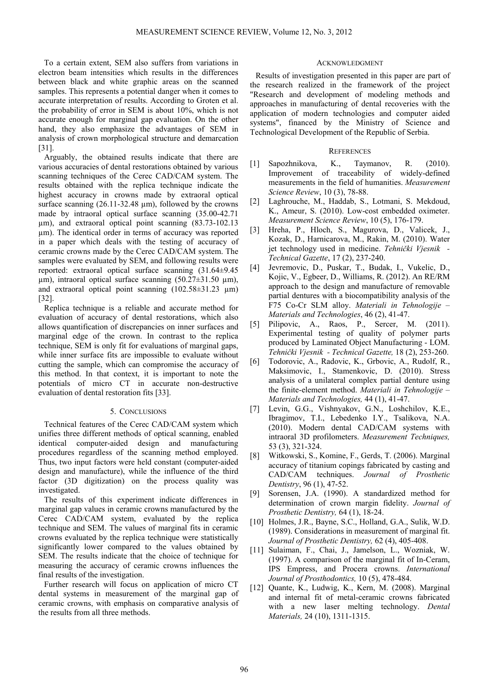To a certain extent, SEM also suffers from variations in electron beam intensities which results in the differences between black and white graphic areas on the scanned samples. This represents a potential danger when it comes to accurate interpretation of results. According to Groten et al. the probability of error in SEM is about 10%, which is not accurate enough for marginal gap evaluation. On the other hand, they also emphasize the advantages of SEM in analysis of crown morphological structure and demarcation [31].

Arguably, the obtained results indicate that there are various accuracies of dental restorations obtained by various scanning techniques of the Cerec CAD/CAM system. The results obtained with the replica technique indicate the highest accuracy in crowns made by extraoral optical surface scanning  $(26.11-32.48 \text{ µm})$ , followed by the crowns made by intraoral optical surface scanning (35.00-42.71 µm), and extraoral optical point scanning (83.73-102.13 µm). The identical order in terms of accuracy was reported in a paper which deals with the testing of accuracy of ceramic crowns made by the Cerec CAD/CAM system. The samples were evaluated by SEM, and following results were reported: extraoral optical surface scanning (31.64±9.45  $\mu$ m), intraoral optical surface scanning (50.27 $\pm$ 31.50  $\mu$ m), and extraoral optical point scanning  $(102.58\pm31.23 \mu m)$ [32].

Replica technique is a reliable and accurate method for evaluation of accuracy of dental restorations, which also allows quantification of discrepancies on inner surfaces and marginal edge of the crown. In contrast to the replica technique, SEM is only fit for evaluations of marginal gaps, while inner surface fits are impossible to evaluate without cutting the sample, which can compromise the accuracy of this method. In that context, it is important to note the potentials of micro CT in accurate non-destructive evaluation of dental restoration fits [33].

## 5. CONCLUSIONS

Technical features of the Cerec CAD/CAM system which unifies three different methods of optical scanning, enabled identical computer-aided design and manufacturing procedures regardless of the scanning method employed. Thus, two input factors were held constant (computer-aided design and manufacture), while the influence of the third factor (3D digitization) on the process quality was investigated.

The results of this experiment indicate differences in marginal gap values in ceramic crowns manufactured by the Cerec CAD/CAM system, evaluated by the replica technique and SEM. The values of marginal fits in ceramic crowns evaluated by the replica technique were statistically significantly lower compared to the values obtained by SEM. The results indicate that the choice of technique for measuring the accuracy of ceramic crowns influences the final results of the investigation.

Further research will focus on application of micro CT dental systems in measurement of the marginal gap of ceramic crowns, with emphasis on comparative analysis of the results from all three methods.

#### ACKNOWLEDGMENT

Results of investigation presented in this paper are part of the research realized in the framework of the project "Research and development of modeling methods and approaches in manufacturing of dental recoveries with the application of modern technologies and computer aided systems", financed by the Ministry of Science and Technological Development of the Republic of Serbia.

## **REFERENCES**

- [1] Sapozhnikova, K., Taymanov, R. (2010). Improvement of traceability of widely-defined measurements in the field of humanities. *Measurement Science Review*, 10 (3), 78-88.
- [2] Laghrouche, M., Haddab, S., Lotmani, S. Mekdoud, K., Ameur, S. (2010). Low-cost embedded oximeter. *Measurement Science Review*, 10 (5), 176-179.
- [3] Hreha, P., Hloch, S., Magurova, D., Valicek, J., Kozak, D., Harnicarova, M., Rakin, M. (2010). Water jet technology used in medicine. *Tehnički Vjesnik - Technical Gazette*, 17 (2), 237-240.
- [4] Jevremovic, D., Puskar, T., Budak, I., Vukelic, D., Kojic, V., Egbeer, D., Williams, R. (2012). An RE/RM approach to the design and manufacture of removable partial dentures with a biocompatibility analysis of the F75 Co-Cr SLM alloy. *Materiali in Tehnologije – Materials and Technologies*, 46 (2), 41-47.
- [5] Pilipovic, A., Raos, P., Sercer, M. (2011). Experimental testing of quality of polymer parts produced by Laminated Object Manufacturing - LOM. *Tehnički Vjesnik - Technical Gazette,* 18 (2), 253-260.
- [6] Todorovic, A., Radovic, K., Grbovic, A., Rudolf, R., Maksimovic, I., Stamenkovic, D. (2010). Stress analysis of a unilateral complex partial denture using the finite-element method. *Materiali in Tehnologije – Materials and Technologies,* 44 (1), 41-47.
- [7] Levin, G.G., Vishnyakov, G.N., Loshchilov, K.E., Ibragimov, T.I., Lebedenko I.Y., Tsalikova, N.A. (2010). Modern dental CAD/CAM systems with intraoral 3D profilometers. *Measurement Techniques,* 53 (3), 321-324.
- [8] Witkowski, S., Komine, F., Gerds, T. (2006). Marginal accuracy of titanium copings fabricated by casting and CAD/CAM techniques. *Journal of Prosthetic Dentistry*, 96 (1), 47-52.
- [9] Sorensen, J.A. (1990). A standardized method for determination of crown margin fidelity. *Journal of Prosthetic Dentistry,* 64 (1), 18-24.
- [10] Holmes, J.R., Bayne, S.C., Holland, G.A., Sulik, W.D. (1989). Considerations in measurement of marginal fit. *Journal of Prosthetic Dentistry,* 62 (4), 405-408.
- [11] Sulaiman, F., Chai, J., Jamelson, L., Wozniak, W. (1997). A comparison of the marginal fit of In-Ceram, IPS Empress, and Procera crowns. *International Journal of Prosthodontics,* 10 (5), 478-484.
- [12] Quante, K., Ludwig, K., Kern, M. (2008). Marginal and internal fit of metal-ceramic crowns fabricated with a new laser melting technology. *Dental Materials,* 24 (10), 1311-1315.